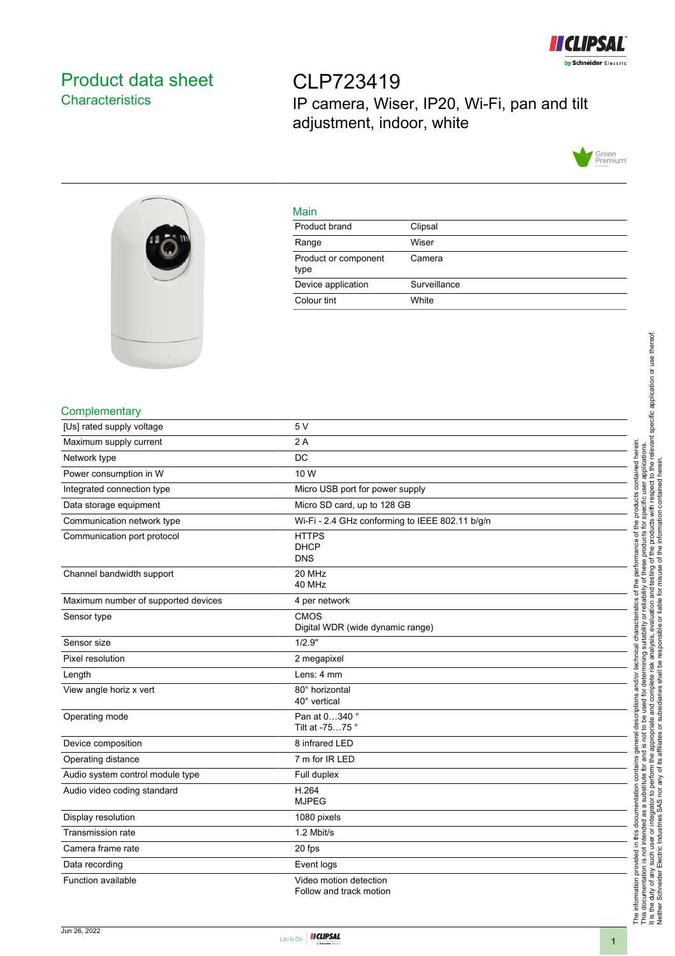

# <span id="page-0-0"></span>Product data sheet **Characteristics**

CLP723419 IP camera, Wiser, IP20, Wi-Fi, pan and tilt adjustment, indoor, white





#### Main

| Product brand                | Clipsal      |
|------------------------------|--------------|
| Range                        | Wiser        |
| Product or component<br>type | Camera       |
| Device application           | Surveillance |
| Colour tint                  | White        |
|                              |              |

## **Complementary**

| [Us] rated supply voltage           | 5V                                                |
|-------------------------------------|---------------------------------------------------|
| Maximum supply current              | 2A                                                |
| Network type                        | DC                                                |
| Power consumption in W              | 10 W                                              |
| Integrated connection type          | Micro USB port for power supply                   |
| Data storage equipment              | Micro SD card, up to 128 GB                       |
| Communication network type          | Wi-Fi - 2.4 GHz conforming to IEEE 802.11 b/g/n   |
| Communication port protocol         | <b>HTTPS</b><br><b>DHCP</b><br><b>DNS</b>         |
| Channel bandwidth support           | 20 MHz<br>40 MHz                                  |
| Maximum number of supported devices | 4 per network                                     |
| Sensor type                         | CMOS<br>Digital WDR (wide dynamic range)          |
| Sensor size                         | 1/2.9"                                            |
| Pixel resolution                    | 2 megapixel                                       |
| Length                              | Lens: 4 mm                                        |
| View angle horiz x vert             | 80° horizontal<br>40° vertical                    |
| Operating mode                      | Pan at 0340°<br>Tilt at -7575°                    |
| Device composition                  | 8 infrared LED                                    |
| Operating distance                  | 7 m for IR LED                                    |
| Audio system control module type    | Full duplex                                       |
| Audio video coding standard         | H.264<br><b>MJPEG</b>                             |
| Display resolution                  | 1080 pixels                                       |
| Transmission rate                   | 1.2 Mbit/s                                        |
| Camera frame rate                   | 20 fps                                            |
| Data recording                      | Event logs                                        |
| Function available                  | Video motion detection<br>Follow and track motion |